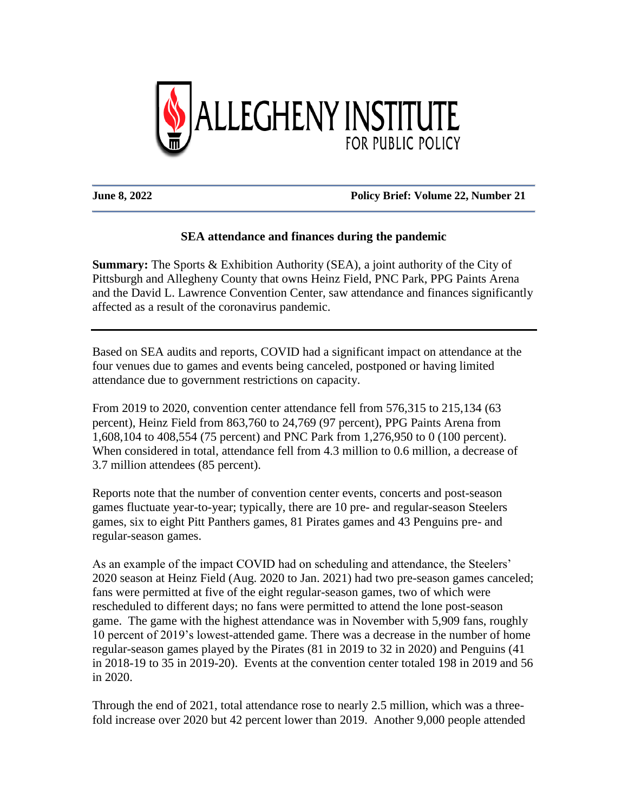

## **June 8, 2022 Policy Brief: Volume 22, Number 21**

## **SEA attendance and finances during the pandemic**

**Summary:** The Sports & Exhibition Authority (SEA), a joint authority of the City of Pittsburgh and Allegheny County that owns Heinz Field, PNC Park, PPG Paints Arena and the David L. Lawrence Convention Center, saw attendance and finances significantly affected as a result of the coronavirus pandemic.

Based on SEA audits and reports, COVID had a significant impact on attendance at the four venues due to games and events being canceled, postponed or having limited attendance due to government restrictions on capacity.

From 2019 to 2020, convention center attendance fell from 576,315 to 215,134 (63 percent), Heinz Field from 863,760 to 24,769 (97 percent), PPG Paints Arena from 1,608,104 to 408,554 (75 percent) and PNC Park from 1,276,950 to 0 (100 percent). When considered in total, attendance fell from 4.3 million to 0.6 million, a decrease of 3.7 million attendees (85 percent).

Reports note that the number of convention center events, concerts and post-season games fluctuate year-to-year; typically, there are 10 pre- and regular-season Steelers games, six to eight Pitt Panthers games, 81 Pirates games and 43 Penguins pre- and regular-season games.

As an example of the impact COVID had on scheduling and attendance, the Steelers' 2020 season at Heinz Field (Aug. 2020 to Jan. 2021) had two pre-season games canceled; fans were permitted at five of the eight regular-season games, two of which were rescheduled to different days; no fans were permitted to attend the lone post-season game. The game with the highest attendance was in November with 5,909 fans, roughly 10 percent of 2019's lowest-attended game. There was a decrease in the number of home regular-season games played by the Pirates (81 in 2019 to 32 in 2020) and Penguins (41 in 2018-19 to 35 in 2019-20). Events at the convention center totaled 198 in 2019 and 56 in 2020.

Through the end of 2021, total attendance rose to nearly 2.5 million, which was a threefold increase over 2020 but 42 percent lower than 2019. Another 9,000 people attended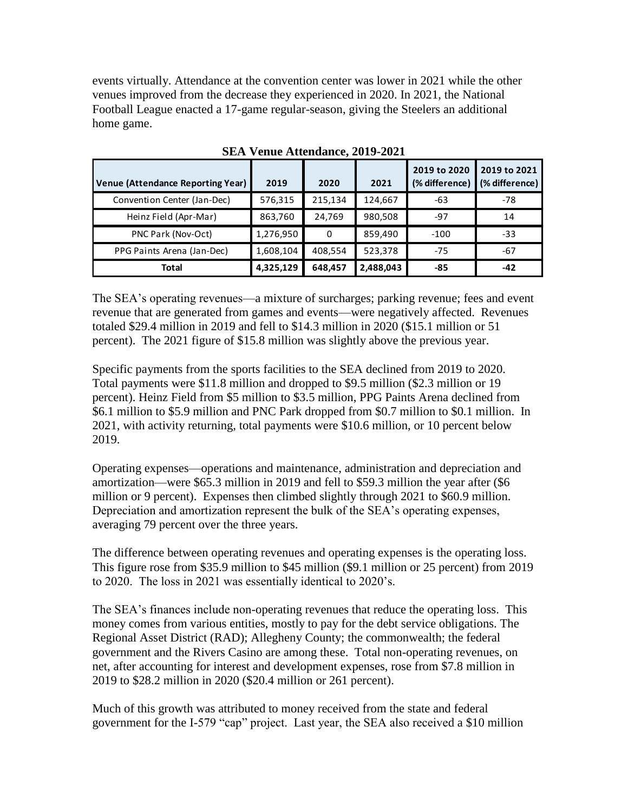events virtually. Attendance at the convention center was lower in 2021 while the other venues improved from the decrease they experienced in 2020. In 2021, the National Football League enacted a 17-game regular-season, giving the Steelers an additional home game.

| <b>Venue (Attendance Reporting Year)</b> | 2019      | 2020    | 2021      | 2019 to 2020<br>(% difference) | 2019 to 2021<br>(% difference) |
|------------------------------------------|-----------|---------|-----------|--------------------------------|--------------------------------|
| Convention Center (Jan-Dec)              | 576,315   | 215,134 | 124,667   | -63                            | $-78$                          |
| Heinz Field (Apr-Mar)                    | 863,760   | 24,769  | 980,508   | $-97$                          | 14                             |
| PNC Park (Nov-Oct)                       | 1,276,950 | 0       | 859,490   | $-100$                         | -33                            |
| PPG Paints Arena (Jan-Dec)               | 1,608,104 | 408,554 | 523,378   | $-75$                          | -67                            |
| <b>Total</b>                             | 4,325,129 | 648,457 | 2,488,043 | $-85$                          | $-42$                          |

**SEA Venue Attendance, 2019-2021**

The SEA's operating revenues—a mixture of surcharges; parking revenue; fees and event revenue that are generated from games and events—were negatively affected. Revenues totaled \$29.4 million in 2019 and fell to \$14.3 million in 2020 (\$15.1 million or 51 percent). The 2021 figure of \$15.8 million was slightly above the previous year.

Specific payments from the sports facilities to the SEA declined from 2019 to 2020. Total payments were \$11.8 million and dropped to \$9.5 million (\$2.3 million or 19 percent). Heinz Field from \$5 million to \$3.5 million, PPG Paints Arena declined from \$6.1 million to \$5.9 million and PNC Park dropped from \$0.7 million to \$0.1 million. In 2021, with activity returning, total payments were \$10.6 million, or 10 percent below 2019.

Operating expenses—operations and maintenance, administration and depreciation and amortization—were \$65.3 million in 2019 and fell to \$59.3 million the year after (\$6 million or 9 percent). Expenses then climbed slightly through 2021 to \$60.9 million. Depreciation and amortization represent the bulk of the SEA's operating expenses, averaging 79 percent over the three years.

The difference between operating revenues and operating expenses is the operating loss. This figure rose from \$35.9 million to \$45 million (\$9.1 million or 25 percent) from 2019 to 2020. The loss in 2021 was essentially identical to 2020's.

The SEA's finances include non-operating revenues that reduce the operating loss. This money comes from various entities, mostly to pay for the debt service obligations. The Regional Asset District (RAD); Allegheny County; the commonwealth; the federal government and the Rivers Casino are among these. Total non-operating revenues, on net, after accounting for interest and development expenses, rose from \$7.8 million in 2019 to \$28.2 million in 2020 (\$20.4 million or 261 percent).

Much of this growth was attributed to money received from the state and federal government for the I-579 "cap" project. Last year, the SEA also received a \$10 million